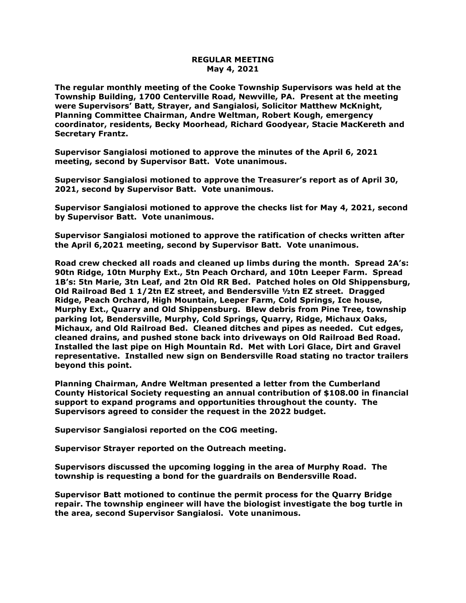## **REGULAR MEETING May 4, 2021**

**The regular monthly meeting of the Cooke Township Supervisors was held at the Township Building, 1700 Centerville Road, Newville, PA. Present at the meeting were Supervisors' Batt, Strayer, and Sangialosi, Solicitor Matthew McKnight, Planning Committee Chairman, Andre Weltman, Robert Kough, emergency coordinator, residents, Becky Moorhead, Richard Goodyear, Stacie MacKereth and Secretary Frantz.** 

**Supervisor Sangialosi motioned to approve the minutes of the April 6, 2021 meeting, second by Supervisor Batt. Vote unanimous.** 

**Supervisor Sangialosi motioned to approve the Treasurer's report as of April 30, 2021, second by Supervisor Batt. Vote unanimous.**

**Supervisor Sangialosi motioned to approve the checks list for May 4, 2021, second by Supervisor Batt. Vote unanimous.**

**Supervisor Sangialosi motioned to approve the ratification of checks written after the April 6,2021 meeting, second by Supervisor Batt. Vote unanimous.**

**Road crew checked all roads and cleaned up limbs during the month. Spread 2A's: 90tn Ridge, 10tn Murphy Ext., 5tn Peach Orchard, and 10tn Leeper Farm. Spread 1B's: 5tn Marie, 3tn Leaf, and 2tn Old RR Bed. Patched holes on Old Shippensburg, Old Railroad Bed 1 1/2tn EZ street, and Bendersville ½tn EZ street. Dragged Ridge, Peach Orchard, High Mountain, Leeper Farm, Cold Springs, Ice house, Murphy Ext., Quarry and Old Shippensburg. Blew debris from Pine Tree, township parking lot, Bendersville, Murphy, Cold Springs, Quarry, Ridge, Michaux Oaks, Michaux, and Old Railroad Bed. Cleaned ditches and pipes as needed. Cut edges, cleaned drains, and pushed stone back into driveways on Old Railroad Bed Road. Installed the last pipe on High Mountain Rd. Met with Lori Glace, Dirt and Gravel representative. Installed new sign on Bendersville Road stating no tractor trailers beyond this point.**

**Planning Chairman, Andre Weltman presented a letter from the Cumberland County Historical Society requesting an annual contribution of \$108.00 in financial support to expand programs and opportunities throughout the county. The Supervisors agreed to consider the request in the 2022 budget.**

**Supervisor Sangialosi reported on the COG meeting.** 

**Supervisor Strayer reported on the Outreach meeting.**

**Supervisors discussed the upcoming logging in the area of Murphy Road. The township is requesting a bond for the guardrails on Bendersville Road.**

**Supervisor Batt motioned to continue the permit process for the Quarry Bridge repair. The township engineer will have the biologist investigate the bog turtle in the area, second Supervisor Sangialosi. Vote unanimous.**